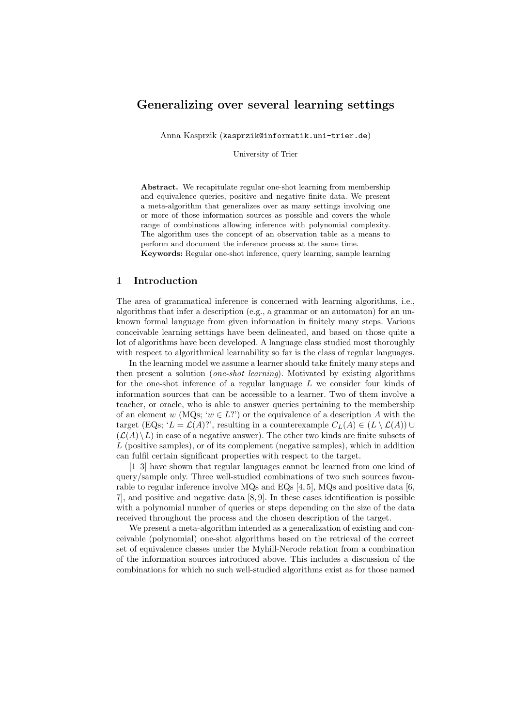# Generalizing over several learning settings

Anna Kasprzik (kasprzik@informatik.uni-trier.de)

University of Trier

Abstract. We recapitulate regular one-shot learning from membership and equivalence queries, positive and negative finite data. We present a meta-algorithm that generalizes over as many settings involving one or more of those information sources as possible and covers the whole range of combinations allowing inference with polynomial complexity. The algorithm uses the concept of an observation table as a means to perform and document the inference process at the same time.

Keywords: Regular one-shot inference, query learning, sample learning

# 1 Introduction

The area of grammatical inference is concerned with learning algorithms, i.e., algorithms that infer a description (e.g., a grammar or an automaton) for an unknown formal language from given information in finitely many steps. Various conceivable learning settings have been delineated, and based on those quite a lot of algorithms have been developed. A language class studied most thoroughly with respect to algorithmical learnability so far is the class of regular languages.

In the learning model we assume a learner should take finitely many steps and then present a solution (one-shot learning). Motivated by existing algorithms for the one-shot inference of a regular language  $L$  we consider four kinds of information sources that can be accessible to a learner. Two of them involve a teacher, or oracle, who is able to answer queries pertaining to the membership of an element w (MQs; ' $w \in L$ ?') or the equivalence of a description A with the target (EQs; 'L =  $\mathcal{L}(A)$ ?', resulting in a counterexample  $C_L(A) \in (L \setminus \mathcal{L}(A)) \cup$  $(\mathcal{L}(A)\setminus L)$  in case of a negative answer). The other two kinds are finite subsets of  $L$  (positive samples), or of its complement (negative samples), which in addition can fulfil certain significant properties with respect to the target.

[1–3] have shown that regular languages cannot be learned from one kind of query/sample only. Three well-studied combinations of two such sources favourable to regular inference involve MQs and EQs [4, 5], MQs and positive data [6, 7], and positive and negative data [8, 9]. In these cases identification is possible with a polynomial number of queries or steps depending on the size of the data received throughout the process and the chosen description of the target.

We present a meta-algorithm intended as a generalization of existing and conceivable (polynomial) one-shot algorithms based on the retrieval of the correct set of equivalence classes under the Myhill-Nerode relation from a combination of the information sources introduced above. This includes a discussion of the combinations for which no such well-studied algorithms exist as for those named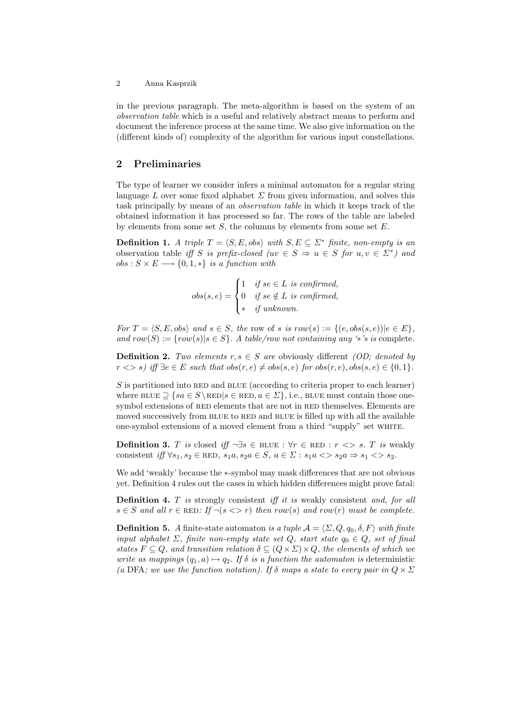in the previous paragraph. The meta-algorithm is based on the system of an observation table which is a useful and relatively abstract means to perform and document the inference process at the same time. We also give information on the (different kinds of) complexity of the algorithm for various input constellations.

# 2 Preliminaries

The type of learner we consider infers a minimal automaton for a regular string language L over some fixed alphabet  $\Sigma$  from given information, and solves this task principally by means of an observation table in which it keeps track of the obtained information it has processed so far. The rows of the table are labeled by elements from some set  $S$ , the columns by elements from some set  $E$ .

**Definition 1.** A triple  $T = \langle S, E, obs \rangle$  with  $S, E \subseteq \Sigma^*$  finite, non-empty is an observation table iff S is prefix-closed (uv  $\in S \Rightarrow u \in S$  for  $u, v \in \Sigma^*$ ) and  $obs: S \times E \longrightarrow \{0, 1, *\}$  is a function with

$$
obs(s, e) = \begin{cases} 1 & \text{if } se \in L \text{ is confirmed,} \\ 0 & \text{if } se \notin L \text{ is confirmed,} \\ * & \text{if unknown.} \end{cases}
$$

For  $T = \langle S, E, obs \rangle$  and  $s \in S$ , the row of s is row(s) := { $(e, obs(s, e))|e \in E$ }, and  $row(S) := \{row(s) | s \in S \}$ . A table/row not containing any '\*'s is complete.

**Definition 2.** Two elements  $r, s \in S$  are obviously different *(OD; denoted by*  $r \leq s$ ) iff  $\exists e \in E$  such that  $obs(r, e) \neq obs(s, e)$  for  $obs(r, e)$ ,  $obs(s, e) \in \{0, 1\}.$ 

S is partitioned into RED and BLUE (according to criteria proper to each learner) where BLUE  $\supset$  {sa  $\in$  S\RED|s  $\in$  RED,  $a \in \Sigma$ }, i.e., BLUE must contain those onesymbol extensions of RED elements that are not in RED themselves. Elements are moved successively from BLUE to RED and BLUE is filled up with all the available one-symbol extensions of a moved element from a third "supply" set white.

**Definition 3.** T is closed iff  $\neg \exists s \in B \cup E : \forall r \in R \cup E : r \iff s$ . T is weakly consistent iff  $\forall s_1, s_2 \in \text{RED}, s_1a, s_2a \in S, a \in \Sigma : s_1a \iff s_2a \Rightarrow s_1 \iff s_2$ .

We add 'weakly' because the ∗-symbol may mask differences that are not obvious yet. Definition 4 rules out the cases in which hidden differences might prove fatal:

**Definition 4.**  $T$  is strongly consistent iff it is weakly consistent and, for all  $s \in S$  and all  $r \in \text{RED}$ : If  $\neg(s \leq r)$  then row(s) and row(r) must be complete.

**Definition 5.** A finite-state automaton is a tuple  $A = \langle \Sigma, Q, q_0, \delta, F \rangle$  with finite input alphabet  $\Sigma$ , finite non-empty state set  $Q$ , start state  $q_0 \in Q$ , set of final states  $F \subseteq Q$ , and transition relation  $\delta \subseteq (Q \times \Sigma) \times Q$ , the elements of which we write as mappings  $(q_1, a) \mapsto q_2$ . If  $\delta$  is a function the automaton is deterministic (a DFA; we use the function notation). If  $\delta$  maps a state to every pair in  $Q \times \Sigma$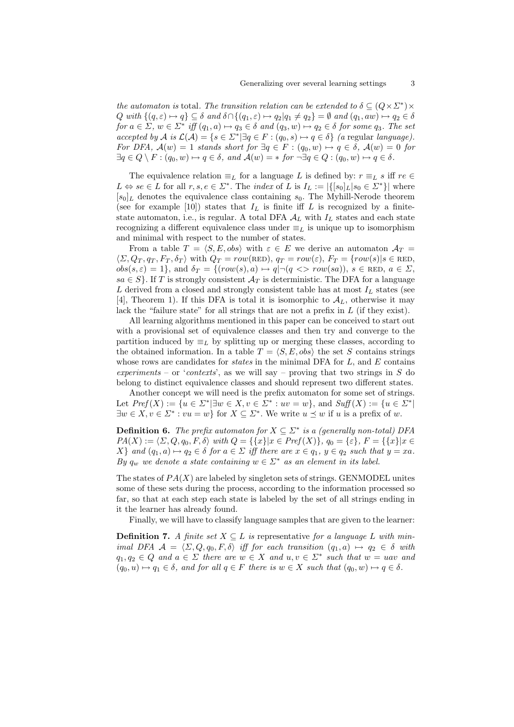the automaton is total. The transition relation can be extended to  $\delta \subseteq (Q \times \Sigma^*) \times$  $Q \text{ with } \{(q, \varepsilon) \mapsto q\} \subseteq \delta \text{ and } \delta \cap \{(q_1, \varepsilon) \mapsto q_2 | q_1 \neq q_2\} = \emptyset \text{ and } (q_1, aw) \mapsto q_2 \in \delta$ for  $a \in \Sigma$ ,  $w \in \Sigma^*$  iff  $(q_1, a) \mapsto q_3 \in \delta$  and  $(q_3, w) \mapsto q_2 \in \delta$  for some  $q_3$ . The set accepted by A is  $\mathcal{L}(\mathcal{A}) = \{s \in \Sigma^* | \exists q \in F : (q_0, s) \mapsto q \in \delta\}$  (a regular language). For DFA,  $\mathcal{A}(w) = 1$  stands short for  $\exists q \in F : (q_0, w) \mapsto q \in \delta$ ,  $\mathcal{A}(w) = 0$  for  $\exists q \in Q \setminus F : (q_0, w) \mapsto q \in \delta$ , and  $\mathcal{A}(w) = *$  for  $\neg \exists q \in Q : (q_0, w) \mapsto q \in \delta$ .

The equivalence relation  $\equiv_L$  for a language L is defined by:  $r \equiv_L s$  iff  $re \in$  $L \Leftrightarrow se \in L$  for all  $r, s, e \in \Sigma^*$ . The *index* of L is  $I_L := |\{[s_0]_L | s_0 \in \Sigma^* \}|$  where  $[s_0]_L$  denotes the equivalence class containing  $s_0$ . The Myhill-Nerode theorem (see for example [10]) states that  $I_L$  is finite iff  $L$  is recognized by a finitestate automaton, i.e., is regular. A total DFA  $A_L$  with  $I_L$  states and each state recognizing a different equivalence class under  $\equiv_L$  is unique up to isomorphism and minimal with respect to the number of states.

From a table  $T = \langle S, E, obs \rangle$  with  $\varepsilon \in E$  we derive an automaton  $\mathcal{A}_T =$  $\langle \Sigma, Q_T, q_T, F_T, \delta_T \rangle$  with  $Q_T = row(\text{RED}), q_T = row(\varepsilon), F_T = \{row(s) | s \in \text{RED},$  $obs(s, \varepsilon) = 1$ , and  $\delta_T = \{ (row(s), a) \mapsto q | \neg (q \ll r \text{ } row(sa)), s \in \text{RED}, a \in \Sigma, \}$  $sa \in S$ . If T is strongly consistent  $\mathcal{A}_T$  is deterministic. The DFA for a language L derived from a closed and strongly consistent table has at most  $I_L$  states (see [4], Theorem 1). If this DFA is total it is isomorphic to  $\mathcal{A}_L$ , otherwise it may lack the "failure state" for all strings that are not a prefix in  $L$  (if they exist).

All learning algorithms mentioned in this paper can be conceived to start out with a provisional set of equivalence classes and then try and converge to the partition induced by  $\equiv_L$  by splitting up or merging these classes, according to the obtained information. In a table  $T = \langle S, E, obs \rangle$  the set S contains strings whose rows are candidates for *states* in the minimal DFA for  $L$ , and  $E$  contains experiments – or 'contexts', as we will say – proving that two strings in  $S$  do belong to distinct equivalence classes and should represent two different states.

Another concept we will need is the prefix automaton for some set of strings. Let  $Pref(X) := \{u \in \Sigma^* | \exists w \in X, v \in \Sigma^* : uv = w\}$ , and  $Suff(X) := \{u \in \Sigma^* |$  $\exists w \in X, v \in \Sigma^* : vu = w\}$  for  $X \subseteq \Sigma^*$ . We write  $u \preceq w$  if u is a prefix of w.

**Definition 6.** The prefix automaton for  $X \subseteq \Sigma^*$  is a (generally non-total) DFA  $PA(X) := \langle \Sigma, Q, q_0, F, \delta \rangle$  with  $Q = {\{\{x\}|x \in Pref(X)\}, q_0 = {\{\varepsilon\}}, F = {\{\{x\}|x \in F\}}$  $X\}$  and  $(q_1, a) \mapsto q_2 \in \delta$  for  $a \in \Sigma$  iff there are  $x \in q_1, y \in q_2$  such that  $y = xa$ . By  $q_w$  we denote a state containing  $w \in \Sigma^*$  as an element in its label.

The states of  $PA(X)$  are labeled by singleton sets of strings. GENMODEL unites some of these sets during the process, according to the information processed so far, so that at each step each state is labeled by the set of all strings ending in it the learner has already found.

Finally, we will have to classify language samples that are given to the learner:

**Definition 7.** A finite set  $X \subseteq L$  is representative for a language L with minimal DFA  $\mathcal{A} = \langle \Sigma, Q, q_0, F, \delta \rangle$  iff for each transition  $(q_1, a) \mapsto q_2 \in \delta$  with  $q_1, q_2 \in Q$  and  $a \in \Sigma$  there are  $w \in X$  and  $u, v \in \Sigma^*$  such that  $w = uav$  and  $(q_0, u) \mapsto q_1 \in \delta$ , and for all  $q \in F$  there is  $w \in X$  such that  $(q_0, w) \mapsto q \in \delta$ .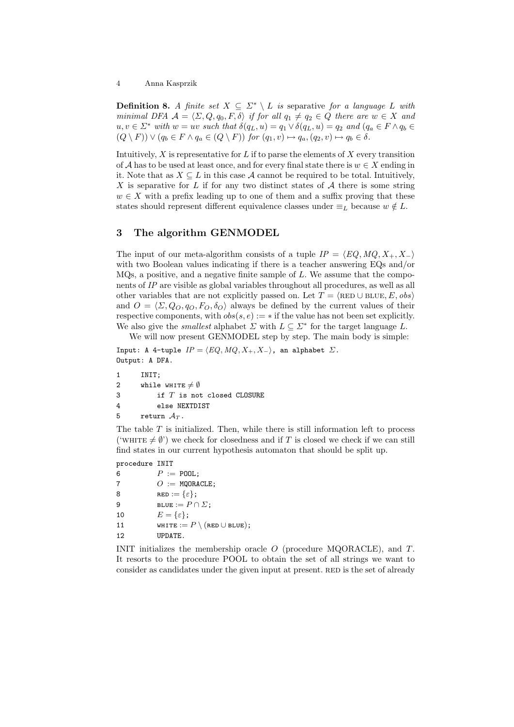**Definition 8.** A finite set  $X \subseteq \Sigma^* \setminus L$  is separative for a language L with minimal DFA  $\mathcal{A} = \langle \Sigma, Q, q_0, F, \delta \rangle$  if for all  $q_1 \neq q_2 \in Q$  there are  $w \in X$  and  $u, v \in \Sigma^*$  with  $w = uv$  such that  $\delta(q_L, u) = q_1 \vee \delta(q_L, u) = q_2$  and  $(q_a \in F \wedge q_b \in$  $(Q \setminus F)) \vee (q_b \in F \wedge q_a \in (Q \setminus F))$  for  $(q_1, v) \mapsto q_a, (q_2, v) \mapsto q_b \in \delta$ .

Intuitively,  $X$  is representative for  $L$  if to parse the elements of  $X$  every transition of A has to be used at least once, and for every final state there is  $w \in X$  ending in it. Note that as  $X \subseteq L$  in this case A cannot be required to be total. Intuitively, X is separative for L if for any two distinct states of  $A$  there is some string  $w \in X$  with a prefix leading up to one of them and a suffix proving that these states should represent different equivalence classes under  $\equiv_L$  because  $w \notin L$ .

# 3 The algorithm GENMODEL

The input of our meta-algorithm consists of a tuple  $IP = \langle EQ, MO, X_+, X_-\rangle$ with two Boolean values indicating if there is a teacher answering EQs and/or  $MQs$ , a positive, and a negative finite sample of L. We assume that the components of IP are visible as global variables throughout all procedures, as well as all other variables that are not explicitly passed on. Let  $T = \langle \text{RED} \cup \text{BLE}, E, obs \rangle$ and  $O = \langle \Sigma, Q_O, q_O, F_O, \delta_O \rangle$  always be defined by the current values of their respective components, with  $obs(s, e) := *$  if the value has not been set explicitly. We also give the *smallest* alphabet  $\Sigma$  with  $L \subseteq \Sigma^*$  for the target language L.

We will now present GENMODEL step by step. The main body is simple: Input: A 4-tuple  $IP = \langle EQ, MQ, X_+, X_-\rangle$ , an alphabet  $\Sigma$ . Output: A DFA.

```
1 INIT;
2 while WHITE \neq \emptyset3 if T is not closed CLOSURE
4 else NEXTDIST
5 return A_T.
```
The table  $T$  is initialized. Then, while there is still information left to process ('WHITE  $\neq \emptyset$ ') we check for closedness and if T is closed we check if we can still find states in our current hypothesis automaton that should be split up.

procedure INIT

| 6  | $P := \texttt{POOL}:$                      |
|----|--------------------------------------------|
| 7  | $O :=$ MQORACLE;                           |
| 8  | $RED := {\varepsilon};$                    |
| 9  | BLUE := $P \cap \Sigma$ ;                  |
| 10 | $E = {\varepsilon};$                       |
| 11 | WHITE := $P \setminus ($ RED $\cup$ BLUE); |
| 12 | UPDATE.                                    |
|    |                                            |

INIT initializes the membership oracle O (procedure MQORACLE), and T. It resorts to the procedure POOL to obtain the set of all strings we want to consider as candidates under the given input at present. RED is the set of already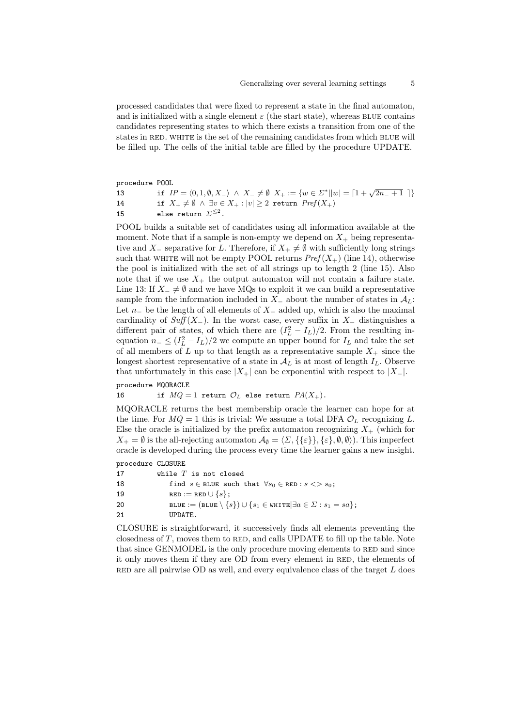processed candidates that were fixed to represent a state in the final automaton, and is initialized with a single element  $\varepsilon$  (the start state), whereas BLUE contains candidates representing states to which there exists a transition from one of the states in RED. WHITE is the set of the remaining candidates from which BLUE will be filled up. The cells of the initial table are filled by the procedure UPDATE.

| procedure POOL |                                                                                                                                                |
|----------------|------------------------------------------------------------------------------------------------------------------------------------------------|
| 13             | if $IP = \langle 0, 1, \emptyset, X_{-} \rangle \wedge X_{-} \neq \emptyset \ X_{+} := \{ w \in \Sigma^{*}    w  = [1 + \sqrt{2n_{-} + 1}] \}$ |
| 14             | if $X_+ \neq \emptyset \land \exists v \in X_+ :  v  \geq 2$ return $Pref(X_+)$                                                                |
| 15             | else return $\Sigma^{\leq 2}$ .                                                                                                                |

POOL builds a suitable set of candidates using all information available at the moment. Note that if a sample is non-empty we depend on  $X_+$  being representative and X<sub>-</sub> separative for L. Therefore, if  $X_+ \neq \emptyset$  with sufficiently long strings such that white will not be empty POOL returns  $Pref(X_+)$  (line 14), otherwise the pool is initialized with the set of all strings up to length 2 (line 15). Also note that if we use  $X_+$  the output automaton will not contain a failure state. Line 13: If  $X_-\neq \emptyset$  and we have MQs to exploit it we can build a representative sample from the information included in  $X_-\$ about the number of states in  $\mathcal{A}_L$ : Let  $n_$  be the length of all elements of  $X_$  added up, which is also the maximal cardinality of  $Suff(X_$ ). In the worst case, every suffix in  $X_$  distinguishes a different pair of states, of which there are  $(I_L^2 - I_L)/2$ . From the resulting inequation  $n_- \leq (I_L^2 - I_L)/2$  we compute an upper bound for  $I_L$  and take the set of all members of L up to that length as a representative sample  $X_+$  since the longest shortest representative of a state in  $A_L$  is at most of length  $I_L$ . Observe that unfortunately in this case  $|X_+|$  can be exponential with respect to  $|X_-|$ .

```
procedure MQORACLE
```
16 if  $MQ = 1$  return  $\mathcal{O}_L$  else return  $PA(X_+)$ .

MQORACLE returns the best membership oracle the learner can hope for at the time. For  $MQ = 1$  this is trivial: We assume a total DFA  $\mathcal{O}_L$  recognizing L. Else the oracle is initialized by the prefix automaton recognizing  $X_{+}$  (which for  $X_+ = \emptyset$  is the all-rejecting automaton  $\mathcal{A}_{\emptyset} = \langle \Sigma, {\{\varepsilon\}}, {\{\varepsilon\}}, \emptyset, \emptyset \rangle$ . This imperfect oracle is developed during the process every time the learner gains a new insight.

procedure CLOSURE

| 17 | while $T$ is not closed                                                                             |
|----|-----------------------------------------------------------------------------------------------------|
| 18 | find $s \in$ BLUE such that $\forall s_0 \in$ RED : $s \ll > s_0$ ;                                 |
| 19 | $RED := RED \cup \{s\};$                                                                            |
| 20 | BLUE := $(BLUE \setminus \{s\}) \cup \{s_1 \in \texttt{WHITE}   \exists a \in \Sigma : s_1 = sa\};$ |
| 21 | UPDATE.                                                                                             |
|    |                                                                                                     |

CLOSURE is straightforward, it successively finds all elements preventing the closedness of  $T$ , moves them to RED, and calls UPDATE to fill up the table. Note that since GENMODEL is the only procedure moving elements to RED and since it only moves them if they are OD from every element in RED, the elements of RED are all pairwise OD as well, and every equivalence class of the target  $L$  does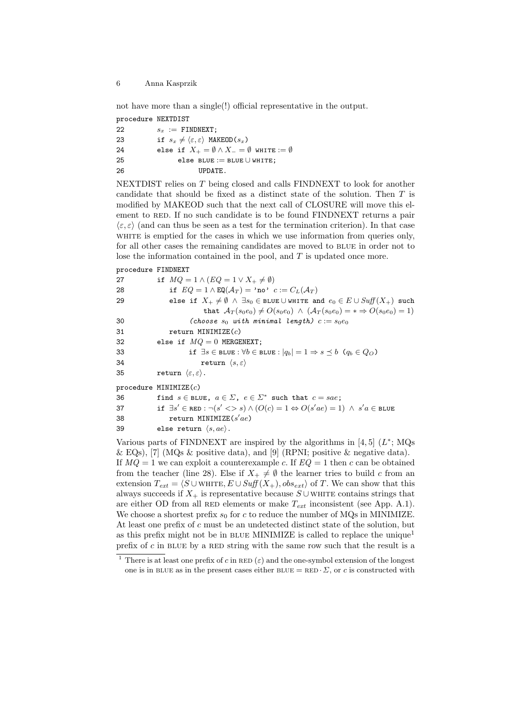not have more than a single(!) official representative in the output.

| procedure NEXTDIST |  |
|--------------------|--|
|--------------------|--|

| 22 | $s_x :=$ FINDNEXT;                                                     |
|----|------------------------------------------------------------------------|
| 23 | if $s_x \neq \langle \varepsilon, \varepsilon \rangle$ MAKEOD( $s_x$ ) |
| 24 | else if $X_+ = \emptyset \wedge X_- = \emptyset$ white $:= \emptyset$  |
| 25 | else BLUE := BLUE $\cup$ WHITE;                                        |
| 26 | UPDATE.                                                                |

NEXTDIST relies on T being closed and calls FINDNEXT to look for another candidate that should be fixed as a distinct state of the solution. Then T is modified by MAKEOD such that the next call of CLOSURE will move this element to RED. If no such candidate is to be found FINDNEXT returns a pair  $\langle \varepsilon, \varepsilon \rangle$  (and can thus be seen as a test for the termination criterion). In that case WHITE is emptied for the cases in which we use information from queries only, for all other cases the remaining candidates are moved to BLUE in order not to lose the information contained in the pool, and  $T$  is updated once more.

#### procedure FINDNEXT

| if $MQ = 1 \wedge (EQ = 1 \vee X_+ \neq \emptyset)$                                                                               |
|-----------------------------------------------------------------------------------------------------------------------------------|
| if $EQ = 1 \wedge EQ(\mathcal{A}_T) = \text{'no'} c := C_L(\mathcal{A}_T)$                                                        |
| else if $X_+ \neq \emptyset \land \exists s_0 \in \texttt{blue} \cup \texttt{whITE}$ and $e_0 \in E \cup \textit{Suff}(X_+)$ such |
| that $A_T(s_0e_0) \neq O(s_0e_0) \land (A_T(s_0e_0) = \ast \Rightarrow O(s_0e_0) = 1)$                                            |
| (choose $s_0$ with minimal length) $c := s_0 e_0$                                                                                 |
| return MINIMIZE $(c)$                                                                                                             |
| else if $MQ = 0$ MERGENEXT;                                                                                                       |
| if $\exists s \in$ BLUE : $\forall b \in$ BLUE : $ q_b  = 1 \Rightarrow s \preceq b \ (q_b \in Q_O)$                              |
| return $\langle s, \varepsilon \rangle$                                                                                           |
| return $\langle \varepsilon, \varepsilon \rangle$ .                                                                               |
| procedure $MINIMIZE(c)$                                                                                                           |
| find $s \in$ BLUE, $a \in \Sigma$ , $e \in \Sigma^*$ such that $c = sae$ ;                                                        |
| if $\exists s' \in \texttt{RED} : \neg(s' \iff s) \land (O(c) = 1 \Leftrightarrow O(s'ae) = 1) \land s'a \in \texttt{BLE}$        |
| return MINIMIZE $(s'ae)$                                                                                                          |
| else return $\langle s, ae \rangle$ .                                                                                             |
|                                                                                                                                   |

Various parts of FINDNEXT are inspired by the algorithms in  $[4,5]$   $(L^*;$  MQs & EQs), [7] (MQs & positive data), and [9] (RPNI; positive & negative data). If  $MO = 1$  we can exploit a counterexample c. If  $EO = 1$  then c can be obtained from the teacher (line 28). Else if  $X_+ \neq \emptyset$  the learner tries to build c from an extension  $T_{ext} = \langle S \cup \text{WHTE}, E \cup \text{Suff}(X_+), obs_{ext} \rangle$  of T. We can show that this always succeeds if  $X_+$  is representative because  $S \cup$  white contains strings that are either OD from all RED elements or make  $T_{ext}$  inconsistent (see App. A.1). We choose a shortest prefix  $s_0$  for c to reduce the number of MQs in MINIMIZE. At least one prefix of c must be an undetected distinct state of the solution, but as this prefix might not be in BLUE MINIMIZE is called to replace the unique<sup>1</sup> prefix of  $c$  in BLUE by a RED string with the same row such that the result is a

<sup>&</sup>lt;sup>1</sup> There is at least one prefix of c in RED ( $\varepsilon$ ) and the one-symbol extension of the longest one is in BLUE as in the present cases either BLUE =  $RED \cdot \Sigma$ , or c is constructed with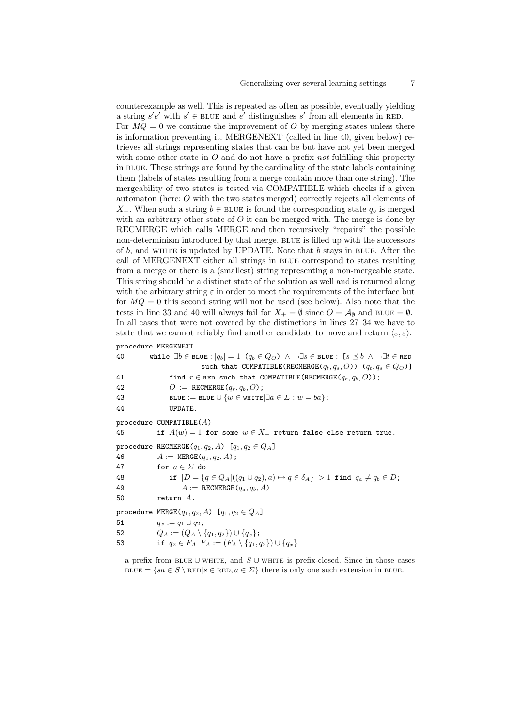counterexample as well. This is repeated as often as possible, eventually yielding a string  $s'e'$  with  $s' \in B$  LUE and  $e'$  distinguishes s' from all elements in RED. For  $MQ = 0$  we continue the improvement of O by merging states unless there is information preventing it. MERGENEXT (called in line 40, given below) retrieves all strings representing states that can be but have not yet been merged with some other state in  $O$  and do not have a prefix not fulfilling this property in blue. These strings are found by the cardinality of the state labels containing them (labels of states resulting from a merge contain more than one string). The mergeability of two states is tested via COMPATIBLE which checks if a given automaton (here: O with the two states merged) correctly rejects all elements of X<sub>-</sub>. When such a string  $b \in B$ LUE is found the corresponding state  $q_b$  is merged with an arbitrary other state of  $O$  it can be merged with. The merge is done by RECMERGE which calls MERGE and then recursively "repairs" the possible non-determinism introduced by that merge. BLUE is filled up with the successors of  $b$ , and WHITE is updated by UPDATE. Note that  $b$  stays in BLUE. After the call of MERGENEXT either all strings in blue correspond to states resulting from a merge or there is a (smallest) string representing a non-mergeable state. This string should be a distinct state of the solution as well and is returned along with the arbitrary string  $\varepsilon$  in order to meet the requirements of the interface but for  $MQ = 0$  this second string will not be used (see below). Also note that the tests in line 33 and 40 will always fail for  $X_+ = \emptyset$  since  $O = \mathcal{A}_{\emptyset}$  and BLUE =  $\emptyset$ . In all cases that were not covered by the distinctions in lines 27–34 we have to state that we cannot reliably find another candidate to move and return  $\langle \varepsilon, \varepsilon \rangle$ . procedure MERGENEXT

| 40 | while $\exists b \in \texttt{BLUE} :  q_b  = 1$ $(q_b \in Q_O) \land \neg \exists s \in \texttt{BLUE} : [s \preceq b \land \neg \exists t \in \texttt{RED}$ |
|----|-------------------------------------------------------------------------------------------------------------------------------------------------------------|
|    | such that COMPATIBLE(RECMERGE( $q_t, q_s, O$ )) $(q_t, q_s \in Q_O)$ ]                                                                                      |
| 41 | find $r \in \texttt{RED}$ such that COMPATIBLE (RECMERGE $(q_r, q_b, O)$ );                                                                                 |
| 42 | $O := RECHERGE(q_r, q_b, O);$                                                                                                                               |
| 43 | BLUE := BLUE $\cup \{w \in \texttt{WHITE}   \exists a \in \Sigma : w = ba\};$                                                                               |
| 44 | UPDATE.                                                                                                                                                     |
|    | procedure COMPATIBLE $(A)$                                                                                                                                  |
| 45 | if $A(w) = 1$ for some $w \in X$ return false else return true.                                                                                             |
|    | procedure RECMERGE( $q_1, q_2, A$ ) [ $q_1, q_2 \in Q_A$ ]                                                                                                  |
| 46 | $A := \text{MERGE}(q_1, q_2, A);$                                                                                                                           |
| 47 | for $a \in \Sigma$ do                                                                                                                                       |
| 48 | if $ D = \{q \in Q_A   ((q_1 \cup q_2), a) \mapsto q \in \delta_A \}  > 1$ find $q_a \neq q_b \in D$ ;                                                      |
| 49 | $A := RECHERGE(q_a, q_b, A)$                                                                                                                                |
| 50 | return $A$ .                                                                                                                                                |
|    |                                                                                                                                                             |

procedure MERGE( $q_1, q_2, A$ ) [ $q_1, q_2 \in Q_A$ ]

51  $q_x := q_1 \cup q_2;$ 

52  $Q_A := (Q_A \setminus \{q_1, q_2\}) \cup \{q_x\};$ 

53 if 
$$
q_2 \in F_A
$$
  $F_A := (F_A \setminus \{q_1, q_2\}) \cup \{q_x\}$ 

a prefix from BLUE ∪ WHITE, and  $S$  ∪ WHITE is prefix-closed. Since in those cases BLUE = { $sa \in S \setminus \text{RED}|s \in \text{RED}, a \in \Sigma$ } there is only one such extension in BLUE.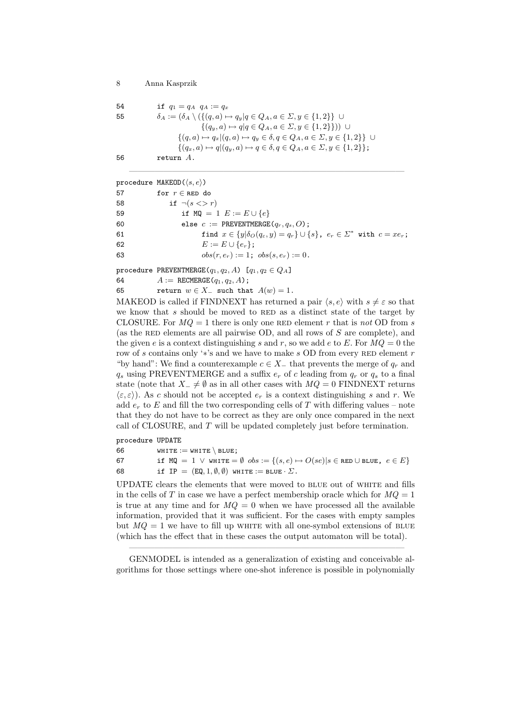```
54 if q_1 = q_A \, q_A := q_x55 \delta_A := (\delta_A \setminus (\{(q, a) \mapsto q_y | q \in Q_A, a \in \Sigma, y \in \{1, 2\}) \cup\{(q_y, a) \mapsto q | q \in Q_A, a \in \Sigma, y \in \{1, 2\}\}) ∪
                          \{(q, a) \mapsto q_x | (q, a) \mapsto q_y \in \delta, q \in Q_A, a \in \Sigma, y \in \{1, 2\}\}\ \cup\{(q_x, a) \mapsto q | (q_y, a) \mapsto q \in \delta, q \in Q_A, a \in \Sigma, y \in \{1, 2\}\};56 return A.
```
procedure MAKEOD $(\langle s, e \rangle)$ 

|    | $P = 0$                                                                                                  |
|----|----------------------------------------------------------------------------------------------------------|
| 57 | for $r \in$ RED do                                                                                       |
| 58 | if $\neg(s \lt > r)$                                                                                     |
| 59 | if MQ = 1 $E := E \cup \{e\}$                                                                            |
| 60 | else $c :=$ PREVENTMERGE( $q_r, q_s, O$ );                                                               |
| 61 | find $x \in \{y   \delta_O(q_\varepsilon, y) = q_r\} \cup \{s\}$ , $e_r \in \Sigma^*$ with $c = x e_r$ ; |
| 62 | $E := E \cup \{e_r\};$                                                                                   |
| 63 | $obs(r, e_r) := 1$ ; $obs(s, e_r) := 0$ .                                                                |
|    |                                                                                                          |

 $\frac{1}{\sqrt{2}}$  , and the contract of the contract of the contract of the contract of the contract of the contract of the contract of the contract of the contract of the contract of the contract of the contract of the contra

procedure PREVENTMERGE $(q_1, q_2, A)$  [ $q_1, q_2 \in Q_A$ ]

| 64 |  | $A := RECHERGE(q_1, q_2, A);$ |  |  |
|----|--|-------------------------------|--|--|
|----|--|-------------------------------|--|--|

65 return  $w \in X_-\,$  such that  $A(w) = 1$ .

MAKEOD is called if FINDNEXT has returned a pair  $\langle s, e \rangle$  with  $s \neq \varepsilon$  so that we know that  $s$  should be moved to RED as a distinct state of the target by CLOSURE. For  $MQ = 1$  there is only one RED element r that is not OD from s (as the RED elements are all pairwise OD, and all rows of  $S$  are complete), and the given e is a context distinguishing s and r, so we add e to E. For  $MQ = 0$  the row of s contains only ' $*$ 's and we have to make s OD from every RED element r "by hand": We find a counterexample  $c \in X_+$  that prevents the merge of  $q_r$  and  $q_s$  using PREVENTMERGE and a suffix  $e_r$  of c leading from  $q_r$  or  $q_s$  to a final state (note that  $X_-\neq \emptyset$  as in all other cases with  $MQ = 0$  FINDNEXT returns  $\langle \varepsilon, \varepsilon \rangle$ ). As c should not be accepted  $e_r$  is a context distinguishing s and r. We add  $e_r$  to E and fill the two corresponding cells of T with differing values – note that they do not have to be correct as they are only once compared in the next call of CLOSURE, and T will be updated completely just before termination.

procedure UPDATE

| 66 | WHITE $:=$ WHITE $\setminus$ BLUE;                                                                                      |
|----|-------------------------------------------------------------------------------------------------------------------------|
| 67 | if $MQ = 1 \vee$ white $= \emptyset$ $obs := \{(s, e) \mapsto O(se)   s \in \texttt{RED} \cup \texttt{BLUE}, e \in E\}$ |
| 68 | if IP = $(EQ, 1, \emptyset, \emptyset)$ white := BLUE $\cdot \Sigma$ .                                                  |

UPDATE clears the elements that were moved to blue out of white and fills in the cells of T in case we have a perfect membership oracle which for  $MQ = 1$ is true at any time and for  $MQ = 0$  when we have processed all the available information, provided that it was sufficient. For the cases with empty samples but  $MQ = 1$  we have to fill up WHITE with all one-symbol extensions of BLUE (which has the effect that in these cases the output automaton will be total).

 $\overline{\phantom{a}}$  , and the contract of the contract of the contract of the contract of the contract of the contract of the contract of the contract of the contract of the contract of the contract of the contract of the contrac GENMODEL is intended as a generalization of existing and conceivable algorithms for those settings where one-shot inference is possible in polynomially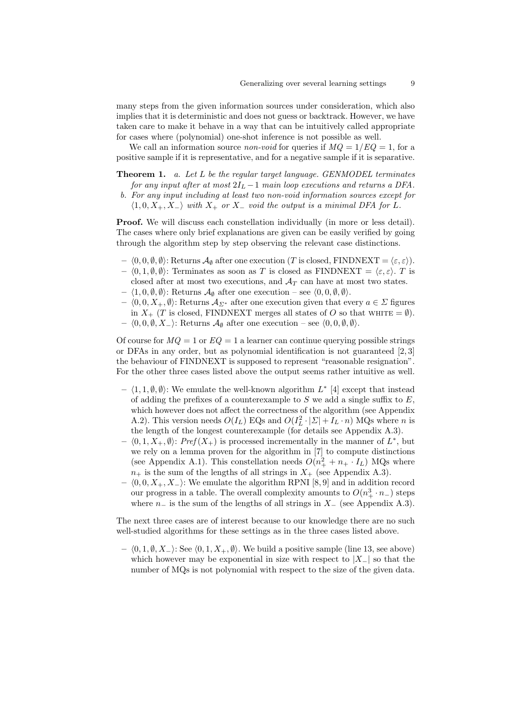many steps from the given information sources under consideration, which also implies that it is deterministic and does not guess or backtrack. However, we have taken care to make it behave in a way that can be intuitively called appropriate for cases where (polynomial) one-shot inference is not possible as well.

We call an information source *non-void* for queries if  $MQ = 1/EQ = 1$ , for a positive sample if it is representative, and for a negative sample if it is separative.

Theorem 1. a. Let L be the regular target language. GENMODEL terminates for any input after at most  $2I_L - 1$  main loop executions and returns a DFA.

b. For any input including at least two non-void information sources except for  $\langle 1, 0, X_+, X_-\rangle$  with  $X_+$  or  $X_-$  void the output is a minimal DFA for L.

**Proof.** We will discuss each constellation individually (in more or less detail). The cases where only brief explanations are given can be easily verified by going through the algorithm step by step observing the relevant case distinctions.

- $\langle 0, 0, \emptyset, \emptyset \rangle$ : Returns  $\mathcal{A}_{\emptyset}$  after one execution (T is closed, FINDNEXT =  $\langle \varepsilon, \varepsilon \rangle$ ).
- $(0, 1, \emptyset, \emptyset)$ : Terminates as soon as T is closed as FINDNEXT =  $\langle \varepsilon, \varepsilon \rangle$ . T is closed after at most two executions, and  $A_T$  can have at most two states.
- $\langle 1, 0, \emptyset, \emptyset \rangle$ : Returns  $\mathcal{A}_{\emptyset}$  after one execution see  $\langle 0, 0, \emptyset, \emptyset \rangle$ .
- $\langle 0, 0, X_+, \emptyset \rangle$ : Returns  $\mathcal{A}_{\Sigma^*}$  after one execution given that every  $a \in \Sigma$  figures in  $X_+$  (T is closed, FINDNEXT merges all states of O so that WHITE =  $\emptyset$ ).  $- \langle 0, 0, \emptyset, X_{-} \rangle$ : Returns  $\mathcal{A}_{\emptyset}$  after one execution – see  $\langle 0, 0, \emptyset, \emptyset \rangle$ .

Of course for  $MQ = 1$  or  $EQ = 1$  a learner can continue querying possible strings or DFAs in any order, but as polynomial identification is not guaranteed  $[2,3]$ the behaviour of FINDNEXT is supposed to represent "reasonable resignation". For the other three cases listed above the output seems rather intuitive as well.

- $\langle 1, 1, \emptyset, \emptyset \rangle$ : We emulate the well-known algorithm  $L^*$  [4] except that instead of adding the prefixes of a counterexample to  $S$  we add a single suffix to  $E$ , which however does not affect the correctness of the algorithm (see Appendix A.2). This version needs  $O(I_L)$  EQs and  $O(I_L^2 \cdot |\Sigma| + I_L \cdot n)$  MQs where n is the length of the longest counterexample (for details see Appendix A.3).
- $\langle 0, 1, X_+, \emptyset \rangle$ : Pref $(X_+)$  is processed incrementally in the manner of  $L^*$ , but we rely on a lemma proven for the algorithm in [7] to compute distinctions (see Appendix A.1). This constellation needs  $O(n_+^2 + n_+ \cdot I_L)$  MQs where  $n_+$  is the sum of the lengths of all strings in  $X_+$  (see Appendix A.3).
- $\langle 0, 0, X_+, X_- \rangle$ : We emulate the algorithm RPNI [8, 9] and in addition record our progress in a table. The overall complexity amounts to  $O(n_+^3 \cdot n_-)$  steps where  $n_$  is the sum of the lengths of all strings in  $X_$  (see Appendix A.3).

The next three cases are of interest because to our knowledge there are no such well-studied algorithms for these settings as in the three cases listed above.

 $\langle 0, 1, ∅, X_-\rangle$ : See  $\langle 0, 1, X_+, ∅ \rangle$ . We build a positive sample (line 13, see above) which however may be exponential in size with respect to  $|X_-\|$  so that the number of MQs is not polynomial with respect to the size of the given data.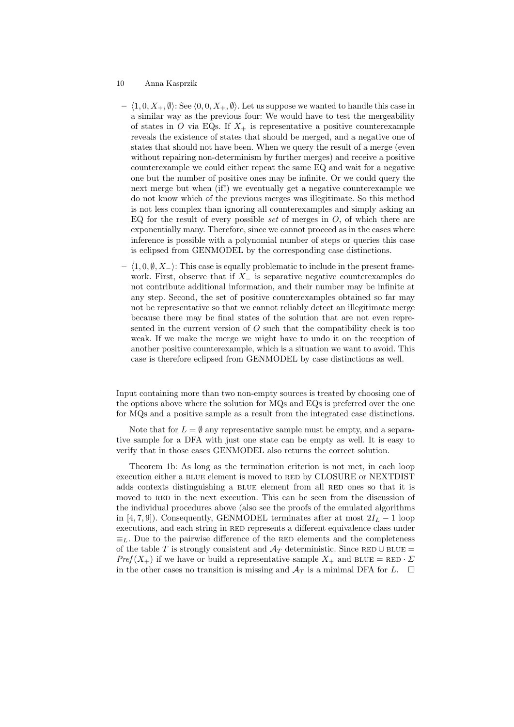- $\langle 1, 0, X_+, \emptyset \rangle$ : See  $\langle 0, 0, X_+, \emptyset \rangle$ . Let us suppose we wanted to handle this case in a similar way as the previous four: We would have to test the mergeability of states in O via EQs. If  $X_+$  is representative a positive counterexample reveals the existence of states that should be merged, and a negative one of states that should not have been. When we query the result of a merge (even without repairing non-determinism by further merges) and receive a positive counterexample we could either repeat the same EQ and wait for a negative one but the number of positive ones may be infinite. Or we could query the next merge but when (if!) we eventually get a negative counterexample we do not know which of the previous merges was illegitimate. So this method is not less complex than ignoring all counterexamples and simply asking an EQ for the result of every possible set of merges in  $O$ , of which there are exponentially many. Therefore, since we cannot proceed as in the cases where inference is possible with a polynomial number of steps or queries this case is eclipsed from GENMODEL by the corresponding case distinctions.
- $\langle 1, 0, \emptyset, X_{-}\rangle$ : This case is equally problematic to include in the present framework. First, observe that if  $X_$  is separative negative counterexamples do not contribute additional information, and their number may be infinite at any step. Second, the set of positive counterexamples obtained so far may not be representative so that we cannot reliably detect an illegitimate merge because there may be final states of the solution that are not even represented in the current version of  $O$  such that the compatibility check is too weak. If we make the merge we might have to undo it on the reception of another positive counterexample, which is a situation we want to avoid. This case is therefore eclipsed from GENMODEL by case distinctions as well.

Input containing more than two non-empty sources is treated by choosing one of the options above where the solution for MQs and EQs is preferred over the one for MQs and a positive sample as a result from the integrated case distinctions.

Note that for  $L = \emptyset$  any representative sample must be empty, and a separative sample for a DFA with just one state can be empty as well. It is easy to verify that in those cases GENMODEL also returns the correct solution.

Theorem 1b: As long as the termination criterion is not met, in each loop execution either a BLUE element is moved to RED by CLOSURE or NEXTDIST adds contexts distinguishing a BLUE element from all RED ones so that it is moved to RED in the next execution. This can be seen from the discussion of the individual procedures above (also see the proofs of the emulated algorithms in [4, 7, 9]). Consequently, GENMODEL terminates after at most  $2I_L - 1$  loop executions, and each string in RED represents a different equivalence class under  $\equiv_L$ . Due to the pairwise difference of the RED elements and the completeness of the table T is strongly consistent and  $A_T$  deterministic. Since RED ∪ BLUE =  $Pref(X_+)$  if we have or build a representative sample  $X_+$  and BLUE = RED  $\cdot \Sigma$ in the other cases no transition is missing and  $\mathcal{A}_T$  is a minimal DFA for L.  $\Box$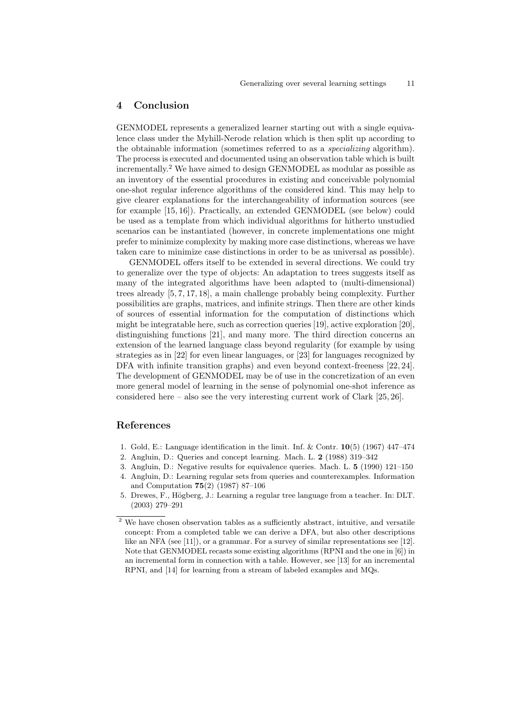## 4 Conclusion

GENMODEL represents a generalized learner starting out with a single equivalence class under the Myhill-Nerode relation which is then split up according to the obtainable information (sometimes referred to as a specializing algorithm). The process is executed and documented using an observation table which is built incrementally.<sup>2</sup> We have aimed to design GENMODEL as modular as possible as an inventory of the essential procedures in existing and conceivable polynomial one-shot regular inference algorithms of the considered kind. This may help to give clearer explanations for the interchangeability of information sources (see for example [15, 16]). Practically, an extended GENMODEL (see below) could be used as a template from which individual algorithms for hitherto unstudied scenarios can be instantiated (however, in concrete implementations one might prefer to minimize complexity by making more case distinctions, whereas we have taken care to minimize case distinctions in order to be as universal as possible).

GENMODEL offers itself to be extended in several directions. We could try to generalize over the type of objects: An adaptation to trees suggests itself as many of the integrated algorithms have been adapted to (multi-dimensional) trees already [5, 7, 17, 18], a main challenge probably being complexity. Further possibilities are graphs, matrices, and infinite strings. Then there are other kinds of sources of essential information for the computation of distinctions which might be integratable here, such as correction queries [19], active exploration [20], distinguishing functions [21], and many more. The third direction concerns an extension of the learned language class beyond regularity (for example by using strategies as in [22] for even linear languages, or [23] for languages recognized by DFA with infinite transition graphs) and even beyond context-freeness [22, 24]. The development of GENMODEL may be of use in the concretization of an even more general model of learning in the sense of polynomial one-shot inference as considered here – also see the very interesting current work of Clark  $[25, 26]$ .

# References

- 1. Gold, E.: Language identification in the limit. Inf. & Contr. 10(5) (1967) 447–474
- 2. Angluin, D.: Queries and concept learning. Mach. L. 2 (1988) 319–342
- 3. Angluin, D.: Negative results for equivalence queries. Mach. L. 5 (1990) 121–150 4. Angluin, D.: Learning regular sets from queries and counterexamples. Information
- and Computation 75(2) (1987) 87–106 5. Drewes, F., Högberg, J.: Learning a regular tree language from a teacher. In: DLT.
- (2003) 279–291

 $2$  We have chosen observation tables as a sufficiently abstract, intuitive, and versatile concept: From a completed table we can derive a DFA, but also other descriptions like an NFA (see [11]), or a grammar. For a survey of similar representations see [12]. Note that GENMODEL recasts some existing algorithms (RPNI and the one in [6]) in an incremental form in connection with a table. However, see [13] for an incremental RPNI, and [14] for learning from a stream of labeled examples and MQs.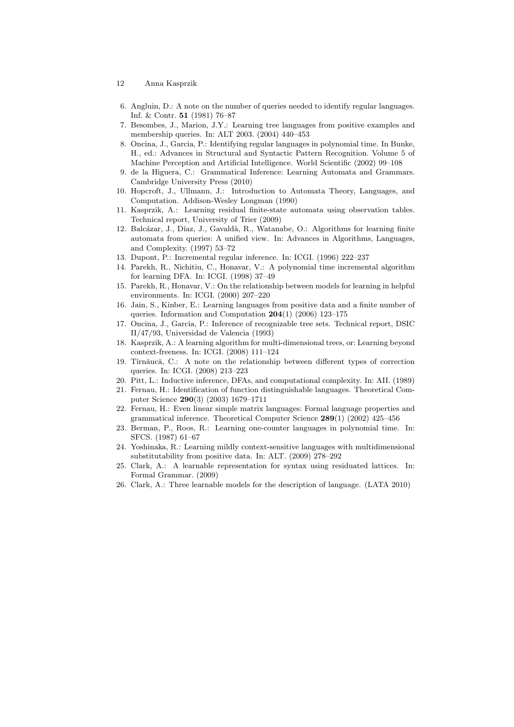- 12 Anna Kasprzik
- 6. Angluin, D.: A note on the number of queries needed to identify regular languages. Inf. & Contr. 51 (1981) 76–87
- 7. Besombes, J., Marion, J.Y.: Learning tree languages from positive examples and membership queries. In: ALT 2003. (2004) 440–453
- 8. Oncina, J., Garcia, P.: Identifying regular languages in polynomial time. In Bunke, H., ed.: Advances in Structural and Syntactic Pattern Recognition. Volume 5 of Machine Perception and Artificial Intelligence. World Scientific (2002) 99–108
- 9. de la Higuera, C.: Grammatical Inference: Learning Automata and Grammars. Cambridge University Press (2010)
- 10. Hopcroft, J., Ullmann, J.: Introduction to Automata Theory, Languages, and Computation. Addison-Wesley Longman (1990)
- 11. Kasprzik, A.: Learning residual finite-state automata using observation tables. Technical report, University of Trier (2009)
- 12. Balcázar, J., Díaz, J., Gavaldà, R., Watanabe, O.: Algorithms for learning finite automata from queries: A unified view. In: Advances in Algorithms, Languages, and Complexity. (1997) 53–72
- 13. Dupont, P.: Incremental regular inference. In: ICGI. (1996) 222–237
- 14. Parekh, R., Nichitiu, C., Honavar, V.: A polynomial time incremental algorithm for learning DFA. In: ICGI. (1998) 37–49
- 15. Parekh, R., Honavar, V.: On the relationship between models for learning in helpful environments. In: ICGI. (2000) 207–220
- 16. Jain, S., Kinber, E.: Learning languages from positive data and a finite number of queries. Information and Computation 204(1) (2006) 123–175
- 17. Oncina, J., Garcia, P.: Inference of recognizable tree sets. Technical report, DSIC II/47/93, Universidad de Valencia (1993)
- 18. Kasprzik, A.: A learning algorithm for multi-dimensional trees, or: Learning beyond context-freeness. In: ICGI. (2008) 111–124
- 19. Tîrnăucă, C.: A note on the relationship between different types of correction queries. In: ICGI. (2008) 213–223
- 20. Pitt, L.: Inductive inference, DFAs, and computational complexity. In: AII. (1989)
- 21. Fernau, H.: Identification of function distinguishable languages. Theoretical Computer Science 290(3) (2003) 1679–1711
- 22. Fernau, H.: Even linear simple matrix languages: Formal language properties and grammatical inference. Theoretical Computer Science 289(1) (2002) 425–456
- 23. Berman, P., Roos, R.: Learning one-counter languages in polynomial time. In: SFCS. (1987) 61–67
- 24. Yoshinaka, R.: Learning mildly context-sensitive languages with multidimensional substitutability from positive data. In: ALT. (2009) 278–292
- 25. Clark, A.: A learnable representation for syntax using residuated lattices. In: Formal Grammar. (2009)
- 26. Clark, A.: Three learnable models for the description of language. (LATA 2010)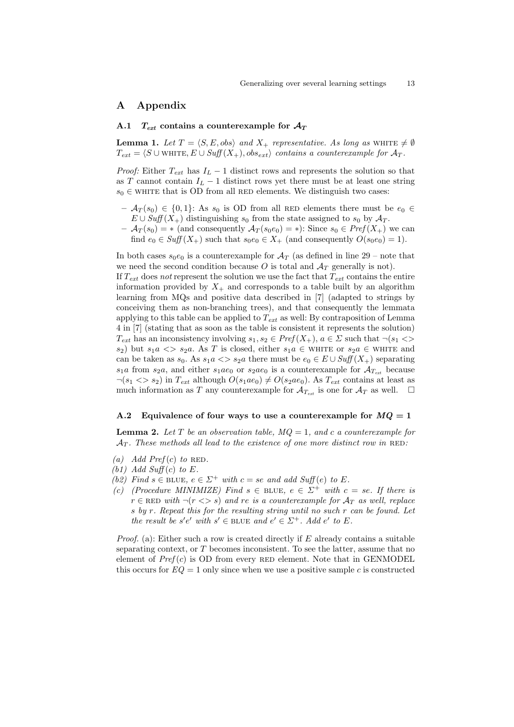# A Appendix

### A.1  $T_{ext}$  contains a counterexample for  $A_T$

**Lemma 1.** Let  $T = \langle S, E, obs \rangle$  and  $X_+$  representative. As long as WHITE  $\neq \emptyset$  $T_{ext} = \langle S \cup \text{WHTE}, E \cup Suff(X_+), obs_{ext} \rangle$  contains a counterexample for  $\mathcal{A}_T$ .

*Proof:* Either  $T_{ext}$  has  $I_L - 1$  distinct rows and represents the solution so that as T cannot contain  $I_L - 1$  distinct rows yet there must be at least one string  $s_0 \in$  white that is OD from all RED elements. We distinguish two cases:

- $-\mathcal{A}_T(s_0) \in \{0,1\}$ : As  $s_0$  is OD from all RED elements there must be  $e_0 \in$  $E \cup Suff(X_+)$  distinguishing  $s_0$  from the state assigned to  $s_0$  by  $\mathcal{A}_T$ .
- $-\mathcal{A}_T(s_0) = *$  (and consequently  $\mathcal{A}_T(s_0e_0) = *)$ : Since  $s_0 \in Pref(X_+)$  we can find  $e_0 \in Suff(X_+)$  such that  $s_0e_0 \in X_+$  (and consequently  $O(s_0e_0) = 1$ ).

In both cases  $s_0e_0$  is a counterexample for  $\mathcal{A}_T$  (as defined in line 29 – note that we need the second condition because O is total and  $A_T$  generally is not). If  $T_{ext}$  does not represent the solution we use the fact that  $T_{ext}$  contains the entire information provided by  $X_+$  and corresponds to a table built by an algorithm learning from MQs and positive data described in [7] (adapted to strings by conceiving them as non-branching trees), and that consequently the lemmata applying to this table can be applied to  $T_{ext}$  as well: By contraposition of Lemma 4 in [7] (stating that as soon as the table is consistent it represents the solution)  $T_{ext}$  has an inconsistency involving  $s_1, s_2 \in Pref(X_+), a \in \Sigma$  such that  $\neg(s_1 \Leftrightarrow$ s<sub>2</sub>) but  $s_1a \ll s_2a$ . As T is closed, either  $s_1a \in$  WHITE or  $s_2a \in$  WHITE and can be taken as  $s_0$ . As  $s_1a \ll s_2a$  there must be  $e_0 \in E \cup Suff(X_+)$  separating  $s_1a$  from  $s_2a$ , and either  $s_1ae_0$  or  $s_2ae_0$  is a counterexample for  $\mathcal{A}_{T_{ext}}$  because  $\neg(s_1 \ll s_2)$  in  $T_{ext}$  although  $O(s_1 a e_0) \neq O(s_2 a e_0)$ . As  $T_{ext}$  contains at least as much information as T any counterexample for  $\mathcal{A}_{T_{ext}}$  is one for  $\mathcal{A}_T$  as well.  $\Box$ 

#### A.2 Equivalence of four ways to use a counterexample for  $MQ = 1$

**Lemma 2.** Let T be an observation table,  $MQ = 1$ , and c a counterexample for  $\mathcal{A}_T$ . These methods all lead to the existence of one more distinct row in RED:

- (a) Add Pref(c) to RED.
- (b1) Add Suff(c) to  $E$ .
- (b2) Find  $s \in$  BLUE,  $e \in \Sigma^+$  with  $c = s e$  and add Suff(e) to E.
- (c) (Procedure MINIMIZE) Find  $s \in$  BLUE,  $e \in \Sigma^+$  with  $c = se$ . If there is  $r \in \text{RED with } \neg(r \ll p s)$  and re is a counterexample for  $A_T$  as well, replace s by r. Repeat this for the resulting string until no such r can be found. Let the result be s'e' with  $s' \in$  BLUE and  $e' \in \Sigma^+$ . Add  $e'$  to E.

*Proof.* (a): Either such a row is created directly if  $E$  already contains a suitable separating context, or T becomes inconsistent. To see the latter, assume that no element of  $Pref(c)$  is OD from every RED element. Note that in GENMODEL this occurs for  $EQ = 1$  only since when we use a positive sample c is constructed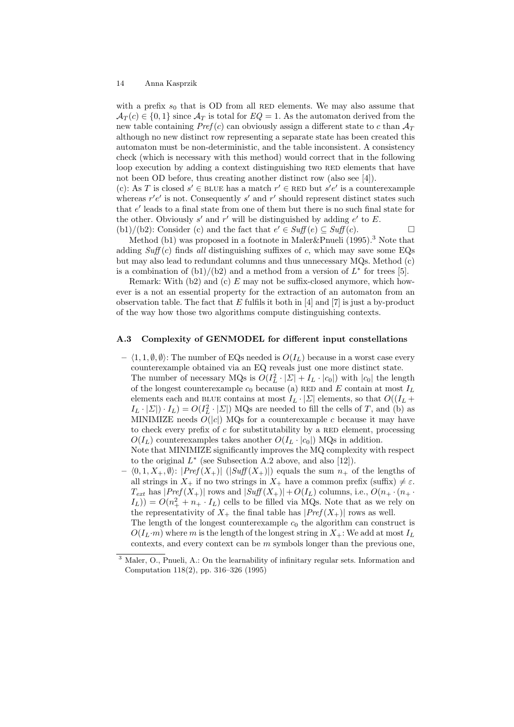with a prefix  $s_0$  that is OD from all RED elements. We may also assume that  $\mathcal{A}_T(c) \in \{0,1\}$  since  $\mathcal{A}_T$  is total for  $EQ = 1$ . As the automaton derived from the new table containing  $Pref(c)$  can obviously assign a different state to c than  $A_T$ although no new distinct row representing a separate state has been created this automaton must be non-deterministic, and the table inconsistent. A consistency check (which is necessary with this method) would correct that in the following loop execution by adding a context distinguishing two RED elements that have not been OD before, thus creating another distinct row (also see [4]).

(c): As T is closed  $s' \in$  BLUE has a match  $r' \in$  RED but  $s'e'$  is a counterexample whereas  $r'e'$  is not. Consequently s' and r' should represent distinct states such that  $e'$  leads to a final state from one of them but there is no such final state for the other. Obviously  $s'$  and  $r'$  will be distinguished by adding  $e'$  to  $E$ . (b1)/(b2): Consider (c) and the fact that  $e' \in Suff(e) \subseteq Suff(c)$ .

Method (b1) was proposed in a footnote in Maler&Pnueli (1995).<sup>3</sup> Note that adding  $Suff(c)$  finds all distinguishing suffixes of c, which may save some EQs but may also lead to redundant columns and thus unnecessary MQs. Method (c) is a combination of  $(b1)/(b2)$  and a method from a version of  $L^*$  for trees [5].

Remark: With  $(b2)$  and  $(c)$  E may not be suffix-closed anymore, which however is a not an essential property for the extraction of an automaton from an observation table. The fact that  $E$  fulfils it both in [4] and [7] is just a by-product of the way how those two algorithms compute distinguishing contexts.

#### A.3 Complexity of GENMODEL for different input constellations

 $- \langle 1, 1, \emptyset, \emptyset \rangle$ : The number of EQs needed is  $O(I_L)$  because in a worst case every counterexample obtained via an EQ reveals just one more distinct state. The number of necessary MQs is  $O(I_L^2 \cdot |\Sigma| + I_L \cdot |c_0|)$  with  $|c_0|$  the length of the longest counterexample  $c_0$  because (a) RED and E contain at most  $I_L$ elements each and BLUE contains at most  $I_L \cdot |\Sigma|$  elements, so that  $O((I_L +$  $I_L \cdot |\Sigma| \cdot I_L$  =  $O(I_L^2 \cdot |\Sigma|)$  MQs are needed to fill the cells of T, and (b) as MINIMIZE needs  $\overline{O}(|c|)$  MQs for a counterexample c because it may have to check every prefix of  $c$  for substitutability by a RED element, processing  $O(I_L)$  counterexamples takes another  $O(I_L \cdot |c_0|)$  MQs in addition. Note that MINIMIZE significantly improves the MQ complexity with respect

to the original  $L^*$  (see Subsection A.2 above, and also [12]).

 $- \langle 0, 1, X_+, \emptyset \rangle$ :  $|Pref(X_+)|$   $(|Suff(X_+)|)$  equals the sum  $n_+$  of the lengths of all strings in  $X_+$  if no two strings in  $X_+$  have a common prefix (suffix)  $\neq \varepsilon$ .  $T_{ext}$  has  $|Pref(X_+)|$  rows and  $|Suff(X_+)| + O(I_L)$  columns, i.e.,  $O(n_+ \cdot (n_+ \cdot$  $I_L$ )) =  $O(n_+^2 + n_+ \cdot I_L)$  cells to be filled via MQs. Note that as we rely on the representativity of  $X_+$  the final table has  $|Pref(X_+)|$  rows as well. The length of the longest counterexample  $c_0$  the algorithm can construct is

 $O(I_L \cdot m)$  where m is the length of the longest string in  $X_+$ : We add at most  $I_L$ contexts, and every context can be  $m$  symbols longer than the previous one,

<sup>3</sup> Maler, O., Pnueli, A.: On the learnability of infinitary regular sets. Information and Computation 118(2), pp. 316–326 (1995)